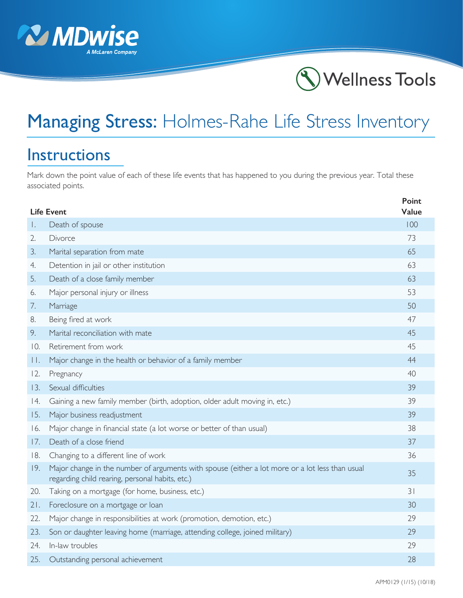



## Managing Stress: Holmes-Rahe Life Stress Inventory

## Instructions

Mark down the point value of each of these life events that has happened to you during the previous year. Total these associated points.

| <b>Life Event</b> |                                                                                                                                                    | Point<br>Value |
|-------------------|----------------------------------------------------------------------------------------------------------------------------------------------------|----------------|
| Τ.                | Death of spouse                                                                                                                                    | 100            |
| 2.                | Divorce                                                                                                                                            | 73             |
| 3.                | Marital separation from mate                                                                                                                       | 65             |
| 4.                | Detention in jail or other institution                                                                                                             | 63             |
| 5.                | Death of a close family member                                                                                                                     | 63             |
| 6.                | Major personal injury or illness                                                                                                                   | 53             |
| 7.                | Marriage                                                                                                                                           | 50             |
| 8.                | Being fired at work                                                                                                                                | 47             |
| 9.                | Marital reconciliation with mate                                                                                                                   | 45             |
| 10.               | Retirement from work                                                                                                                               | 45             |
| П.                | Major change in the health or behavior of a family member                                                                                          | 44             |
| 12.               | Pregnancy                                                                                                                                          | 40             |
| 13.               | Sexual difficulties                                                                                                                                | 39             |
| 14.               | Gaining a new family member (birth, adoption, older adult moving in, etc.)                                                                         | 39             |
| 15.               | Major business readjustment                                                                                                                        | 39             |
| 16.               | Major change in financial state (a lot worse or better of than usual)                                                                              | 38             |
| 17.               | Death of a close friend                                                                                                                            | 37             |
| 18.               | Changing to a different line of work                                                                                                               | 36             |
| 19.               | Major change in the number of arguments with spouse (either a lot more or a lot less than usual<br>regarding child rearing, personal habits, etc.) | 35             |
| 20.               | Taking on a mortgage (for home, business, etc.)                                                                                                    | 31             |
| 21.               | Foreclosure on a mortgage or loan                                                                                                                  | 30             |
| 22.               | Major change in responsibilities at work (promotion, demotion, etc.)                                                                               | 29             |
| 23.               | Son or daughter leaving home (marriage, attending college, joined military)                                                                        | 29             |
| 24.               | In-law troubles                                                                                                                                    | 29             |
| 25.               | Outstanding personal achievement                                                                                                                   | 28             |